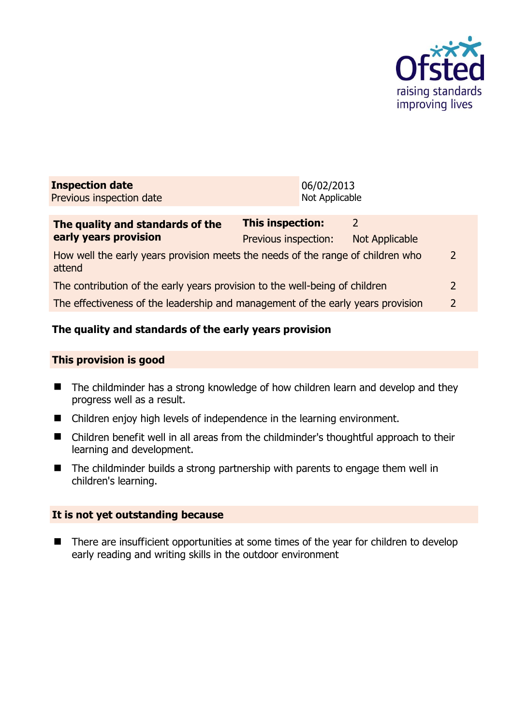

| <b>Inspection date</b>   | 06/02/2013     |
|--------------------------|----------------|
| Previous inspection date | Not Applicable |
|                          |                |

| The quality and standards of the                                                          | <b>This inspection:</b> |                |                |
|-------------------------------------------------------------------------------------------|-------------------------|----------------|----------------|
| early years provision                                                                     | Previous inspection:    | Not Applicable |                |
| How well the early years provision meets the needs of the range of children who<br>attend |                         |                | $\mathcal{L}$  |
| The contribution of the early years provision to the well-being of children               |                         |                | $\mathcal{L}$  |
| The effectiveness of the leadership and management of the early years provision           |                         |                | $\overline{2}$ |
|                                                                                           |                         |                |                |

# **The quality and standards of the early years provision**

### **This provision is good**

- The childminder has a strong knowledge of how children learn and develop and they progress well as a result.
- Children enjoy high levels of independence in the learning environment.
- Children benefit well in all areas from the childminder's thoughtful approach to their learning and development.
- The childminder builds a strong partnership with parents to engage them well in children's learning.

## **It is not yet outstanding because**

■ There are insufficient opportunities at some times of the year for children to develop early reading and writing skills in the outdoor environment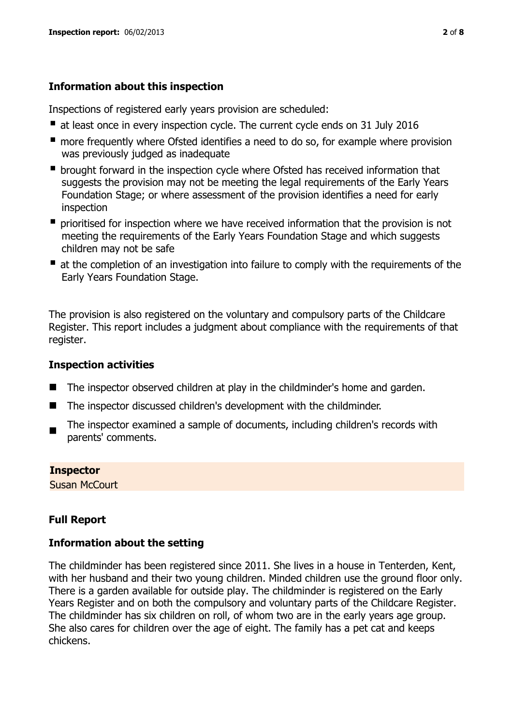# **Information about this inspection**

Inspections of registered early years provision are scheduled:

- at least once in every inspection cycle. The current cycle ends on 31 July 2016
- **n** more frequently where Ofsted identifies a need to do so, for example where provision was previously judged as inadequate
- **•** brought forward in the inspection cycle where Ofsted has received information that suggests the provision may not be meeting the legal requirements of the Early Years Foundation Stage; or where assessment of the provision identifies a need for early inspection
- **P** prioritised for inspection where we have received information that the provision is not meeting the requirements of the Early Years Foundation Stage and which suggests children may not be safe
- at the completion of an investigation into failure to comply with the requirements of the Early Years Foundation Stage.

The provision is also registered on the voluntary and compulsory parts of the Childcare Register. This report includes a judgment about compliance with the requirements of that register.

## **Inspection activities**

- The inspector observed children at play in the childminder's home and garden.
- The inspector discussed children's development with the childminder.
- The inspector examined a sample of documents, including children's records with parents' comments.

### **Inspector**

Susan McCourt

# **Full Report**

## **Information about the setting**

The childminder has been registered since 2011. She lives in a house in Tenterden, Kent, with her husband and their two young children. Minded children use the ground floor only. There is a garden available for outside play. The childminder is registered on the Early Years Register and on both the compulsory and voluntary parts of the Childcare Register. The childminder has six children on roll, of whom two are in the early years age group. She also cares for children over the age of eight. The family has a pet cat and keeps chickens.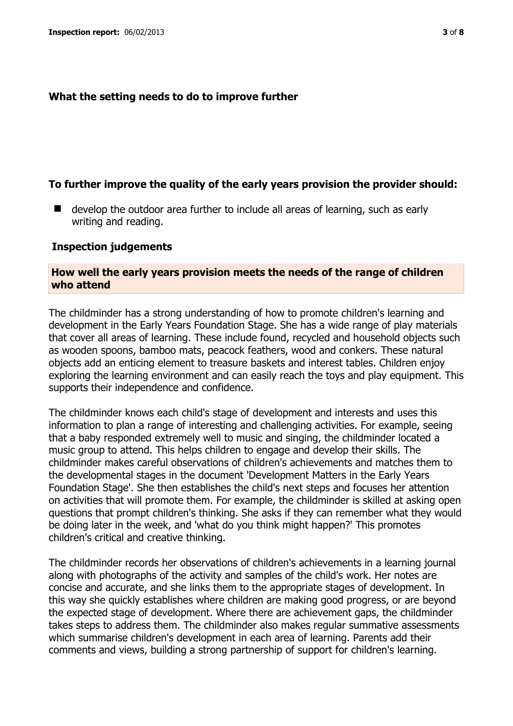### **What the setting needs to do to improve further**

### **To further improve the quality of the early years provision the provider should:**

■ develop the outdoor area further to include all areas of learning, such as early writing and reading.

#### **Inspection judgements**

### **How well the early years provision meets the needs of the range of children who attend**

The childminder has a strong understanding of how to promote children's learning and development in the Early Years Foundation Stage. She has a wide range of play materials that cover all areas of learning. These include found, recycled and household objects such as wooden spoons, bamboo mats, peacock feathers, wood and conkers. These natural objects add an enticing element to treasure baskets and interest tables. Children enjoy exploring the learning environment and can easily reach the toys and play equipment. This supports their independence and confidence.

The childminder knows each child's stage of development and interests and uses this information to plan a range of interesting and challenging activities. For example, seeing that a baby responded extremely well to music and singing, the childminder located a music group to attend. This helps children to engage and develop their skills. The childminder makes careful observations of children's achievements and matches them to the developmental stages in the document 'Development Matters in the Early Years Foundation Stage'. She then establishes the child's next steps and focuses her attention on activities that will promote them. For example, the childminder is skilled at asking open questions that prompt children's thinking. She asks if they can remember what they would be doing later in the week, and 'what do you think might happen?' This promotes children's critical and creative thinking.

The childminder records her observations of children's achievements in a learning journal along with photographs of the activity and samples of the child's work. Her notes are concise and accurate, and she links them to the appropriate stages of development. In this way she quickly establishes where children are making good progress, or are beyond the expected stage of development. Where there are achievement gaps, the childminder takes steps to address them. The childminder also makes regular summative assessments which summarise children's development in each area of learning. Parents add their comments and views, building a strong partnership of support for children's learning.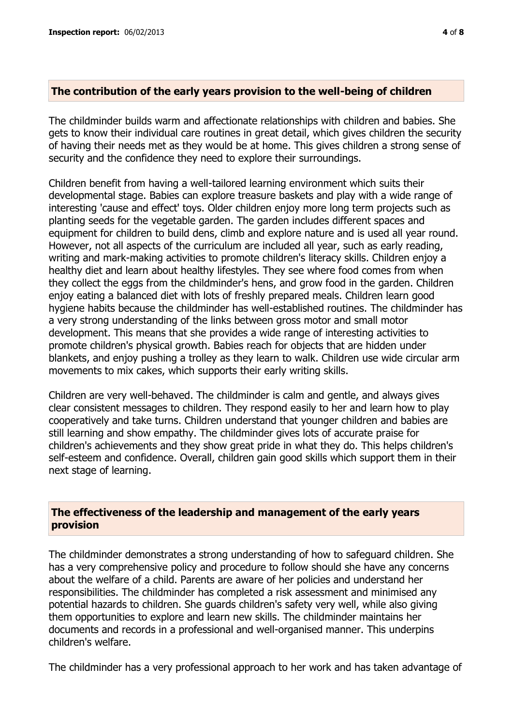### **The contribution of the early years provision to the well-being of children**

The childminder builds warm and affectionate relationships with children and babies. She gets to know their individual care routines in great detail, which gives children the security of having their needs met as they would be at home. This gives children a strong sense of security and the confidence they need to explore their surroundings.

Children benefit from having a well-tailored learning environment which suits their developmental stage. Babies can explore treasure baskets and play with a wide range of interesting 'cause and effect' toys. Older children enjoy more long term projects such as planting seeds for the vegetable garden. The garden includes different spaces and equipment for children to build dens, climb and explore nature and is used all year round. However, not all aspects of the curriculum are included all year, such as early reading, writing and mark-making activities to promote children's literacy skills. Children enjoy a healthy diet and learn about healthy lifestyles. They see where food comes from when they collect the eggs from the childminder's hens, and grow food in the garden. Children enjoy eating a balanced diet with lots of freshly prepared meals. Children learn good hygiene habits because the childminder has well-established routines. The childminder has a very strong understanding of the links between gross motor and small motor development. This means that she provides a wide range of interesting activities to promote children's physical growth. Babies reach for objects that are hidden under blankets, and enjoy pushing a trolley as they learn to walk. Children use wide circular arm movements to mix cakes, which supports their early writing skills.

Children are very well-behaved. The childminder is calm and gentle, and always gives clear consistent messages to children. They respond easily to her and learn how to play cooperatively and take turns. Children understand that younger children and babies are still learning and show empathy. The childminder gives lots of accurate praise for children's achievements and they show great pride in what they do. This helps children's self-esteem and confidence. Overall, children gain good skills which support them in their next stage of learning.

### **The effectiveness of the leadership and management of the early years provision**

The childminder demonstrates a strong understanding of how to safeguard children. She has a very comprehensive policy and procedure to follow should she have any concerns about the welfare of a child. Parents are aware of her policies and understand her responsibilities. The childminder has completed a risk assessment and minimised any potential hazards to children. She guards children's safety very well, while also giving them opportunities to explore and learn new skills. The childminder maintains her documents and records in a professional and well-organised manner. This underpins children's welfare.

The childminder has a very professional approach to her work and has taken advantage of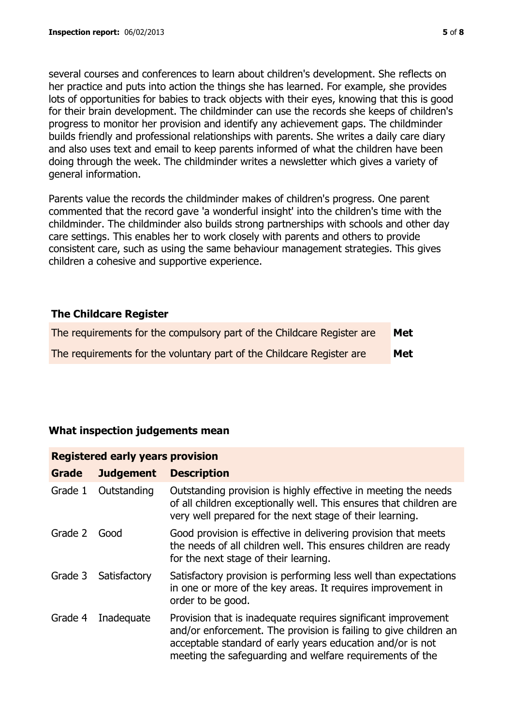several courses and conferences to learn about children's development. She reflects on her practice and puts into action the things she has learned. For example, she provides lots of opportunities for babies to track objects with their eyes, knowing that this is good for their brain development. The childminder can use the records she keeps of children's progress to monitor her provision and identify any achievement gaps. The childminder builds friendly and professional relationships with parents. She writes a daily care diary and also uses text and email to keep parents informed of what the children have been doing through the week. The childminder writes a newsletter which gives a variety of general information.

Parents value the records the childminder makes of children's progress. One parent commented that the record gave 'a wonderful insight' into the children's time with the childminder. The childminder also builds strong partnerships with schools and other day care settings. This enables her to work closely with parents and others to provide consistent care, such as using the same behaviour management strategies. This gives children a cohesive and supportive experience.

## **The Childcare Register**

| The requirements for the compulsory part of the Childcare Register are | Met |
|------------------------------------------------------------------------|-----|
| The requirements for the voluntary part of the Childcare Register are  | Met |

## **What inspection judgements mean**

### **Registered early years provision**

| <b>Grade</b> | <b>Judgement</b> | <b>Description</b>                                                                                                                                                                                                                                          |
|--------------|------------------|-------------------------------------------------------------------------------------------------------------------------------------------------------------------------------------------------------------------------------------------------------------|
| Grade 1      | Outstanding      | Outstanding provision is highly effective in meeting the needs<br>of all children exceptionally well. This ensures that children are<br>very well prepared for the next stage of their learning.                                                            |
| Grade 2      | Good             | Good provision is effective in delivering provision that meets<br>the needs of all children well. This ensures children are ready<br>for the next stage of their learning.                                                                                  |
| Grade 3      | Satisfactory     | Satisfactory provision is performing less well than expectations<br>in one or more of the key areas. It requires improvement in<br>order to be good.                                                                                                        |
| Grade 4      | Inadequate       | Provision that is inadequate requires significant improvement<br>and/or enforcement. The provision is failing to give children an<br>acceptable standard of early years education and/or is not<br>meeting the safeguarding and welfare requirements of the |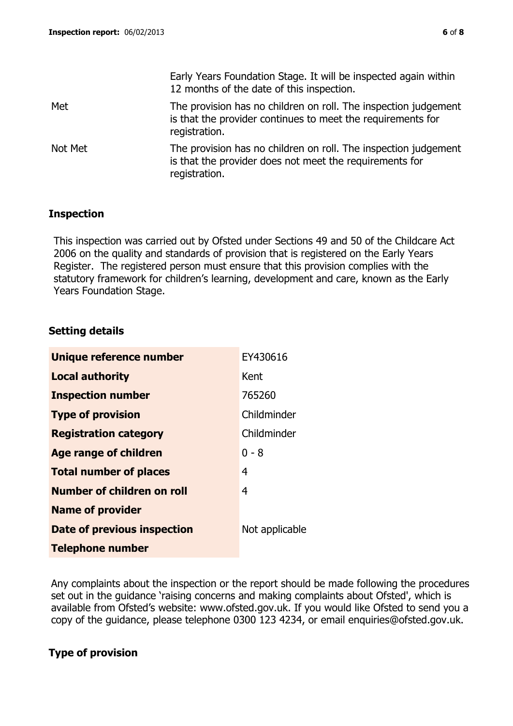|         | Early Years Foundation Stage. It will be inspected again within<br>12 months of the date of this inspection.                                    |
|---------|-------------------------------------------------------------------------------------------------------------------------------------------------|
| Met     | The provision has no children on roll. The inspection judgement<br>is that the provider continues to meet the requirements for<br>registration. |
| Not Met | The provision has no children on roll. The inspection judgement<br>is that the provider does not meet the requirements for<br>registration.     |

### **Inspection**

This inspection was carried out by Ofsted under Sections 49 and 50 of the Childcare Act 2006 on the quality and standards of provision that is registered on the Early Years Register. The registered person must ensure that this provision complies with the statutory framework for children's learning, development and care, known as the Early Years Foundation Stage.

## **Setting details**

| Unique reference number            | EY430616       |
|------------------------------------|----------------|
| <b>Local authority</b>             | Kent           |
| <b>Inspection number</b>           | 765260         |
| <b>Type of provision</b>           | Childminder    |
| <b>Registration category</b>       | Childminder    |
| <b>Age range of children</b>       | $0 - 8$        |
| <b>Total number of places</b>      | 4              |
| Number of children on roll         | $\overline{4}$ |
| <b>Name of provider</b>            |                |
| <b>Date of previous inspection</b> | Not applicable |
| <b>Telephone number</b>            |                |

Any complaints about the inspection or the report should be made following the procedures set out in the guidance 'raising concerns and making complaints about Ofsted', which is available from Ofsted's website: www.ofsted.gov.uk. If you would like Ofsted to send you a copy of the guidance, please telephone 0300 123 4234, or email enquiries@ofsted.gov.uk.

## **Type of provision**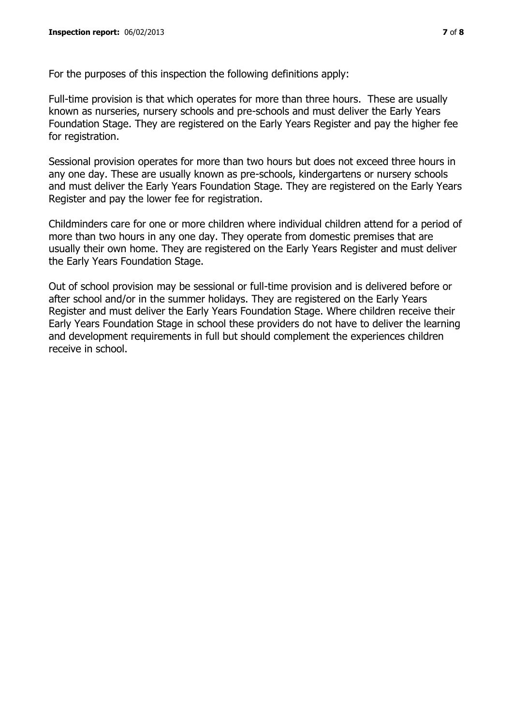For the purposes of this inspection the following definitions apply:

Full-time provision is that which operates for more than three hours. These are usually known as nurseries, nursery schools and pre-schools and must deliver the Early Years Foundation Stage. They are registered on the Early Years Register and pay the higher fee for registration.

Sessional provision operates for more than two hours but does not exceed three hours in any one day. These are usually known as pre-schools, kindergartens or nursery schools and must deliver the Early Years Foundation Stage. They are registered on the Early Years Register and pay the lower fee for registration.

Childminders care for one or more children where individual children attend for a period of more than two hours in any one day. They operate from domestic premises that are usually their own home. They are registered on the Early Years Register and must deliver the Early Years Foundation Stage.

Out of school provision may be sessional or full-time provision and is delivered before or after school and/or in the summer holidays. They are registered on the Early Years Register and must deliver the Early Years Foundation Stage. Where children receive their Early Years Foundation Stage in school these providers do not have to deliver the learning and development requirements in full but should complement the experiences children receive in school.